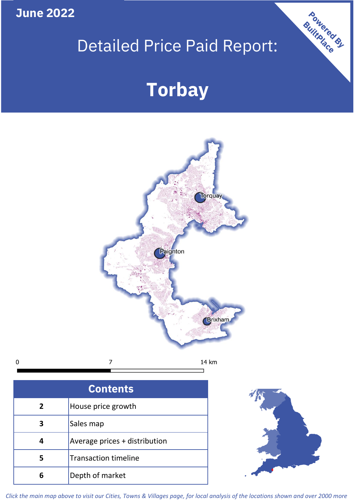**June 2022**

## Detailed Price Paid Report:

# **Torbay**



| <b>Contents</b> |                               |  |  |
|-----------------|-------------------------------|--|--|
| $\overline{2}$  | House price growth            |  |  |
| 3               | Sales map                     |  |  |
| 4               | Average prices + distribution |  |  |
| 5               | <b>Transaction timeline</b>   |  |  |
|                 | Depth of market               |  |  |



Powered By

*Click the main map above to visit our Cities, Towns & Villages page, for local analysis of the locations shown and over 2000 more*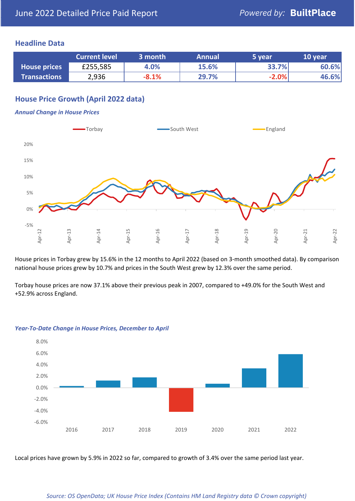## **Headline Data**

|                     | <b>Current level</b> | 3 month | <b>Annual</b> | 5 year  | 10 year |
|---------------------|----------------------|---------|---------------|---------|---------|
| <b>House prices</b> | £255,585             | 4.0%    | 15.6%         | 33.7%   | 60.6%   |
| <b>Transactions</b> | 2,936                | $-8.1%$ | 29.7%         | $-2.0%$ | 46.6%   |

## **House Price Growth (April 2022 data)**

#### *Annual Change in House Prices*



House prices in Torbay grew by 15.6% in the 12 months to April 2022 (based on 3-month smoothed data). By comparison national house prices grew by 10.7% and prices in the South West grew by 12.3% over the same period.

Torbay house prices are now 37.1% above their previous peak in 2007, compared to +49.0% for the South West and +52.9% across England.



#### *Year-To-Date Change in House Prices, December to April*

Local prices have grown by 5.9% in 2022 so far, compared to growth of 3.4% over the same period last year.

#### *Source: OS OpenData; UK House Price Index (Contains HM Land Registry data © Crown copyright)*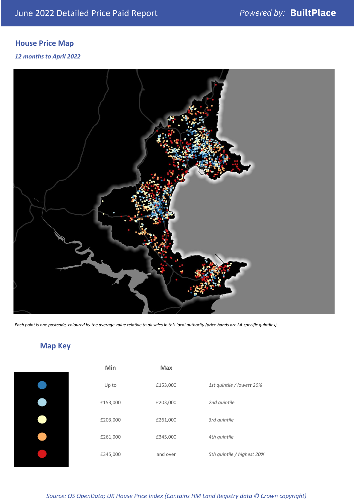## **House Price Map**

### *12 months to April 2022*



*Each point is one postcode, coloured by the average value relative to all sales in this local authority (price bands are LA-specific quintiles).*

## **Map Key**

| Min     |
|---------|
| Up to   |
| £153,00 |
| £203,00 |
| £261,00 |
| £345,00 |

| Min      | <b>Max</b> |                            |
|----------|------------|----------------------------|
| Up to    | £153,000   | 1st quintile / lowest 20%  |
| £153,000 | £203,000   | 2nd quintile               |
| £203,000 | £261,000   | 3rd quintile               |
| £261,000 | £345,000   | 4th quintile               |
| £345,000 | and over   | 5th quintile / highest 20% |

*Source: OS OpenData; UK House Price Index (Contains HM Land Registry data © Crown copyright)*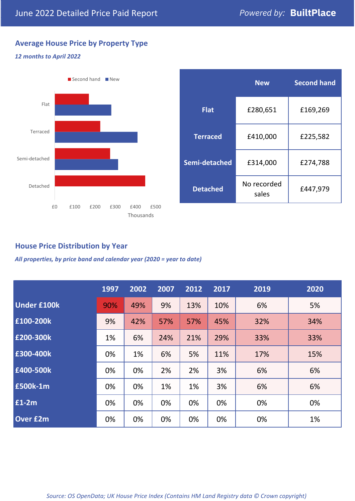## **Average House Price by Property Type**

### *12 months to April 2022*



|                 | <b>New</b>           | <b>Second hand</b> |  |  |
|-----------------|----------------------|--------------------|--|--|
| <b>Flat</b>     | £280,651             | £169,269           |  |  |
| <b>Terraced</b> | £410,000             | £225,582           |  |  |
| Semi-detached   | £314,000             | £274,788           |  |  |
| <b>Detached</b> | No recorded<br>sales | £447,979           |  |  |

## **House Price Distribution by Year**

*All properties, by price band and calendar year (2020 = year to date)*

|                    | 1997 | 2002 | 2007 | 2012 | 2017 | 2019 | 2020 |
|--------------------|------|------|------|------|------|------|------|
| <b>Under £100k</b> | 90%  | 49%  | 9%   | 13%  | 10%  | 6%   | 5%   |
| £100-200k          | 9%   | 42%  | 57%  | 57%  | 45%  | 32%  | 34%  |
| E200-300k          | 1%   | 6%   | 24%  | 21%  | 29%  | 33%  | 33%  |
| £300-400k          | 0%   | 1%   | 6%   | 5%   | 11%  | 17%  | 15%  |
| £400-500k          | 0%   | 0%   | 2%   | 2%   | 3%   | 6%   | 6%   |
| £500k-1m           | 0%   | 0%   | 1%   | 1%   | 3%   | 6%   | 6%   |
| £1-2m              | 0%   | 0%   | 0%   | 0%   | 0%   | 0%   | 0%   |
| <b>Over £2m</b>    | 0%   | 0%   | 0%   | 0%   | 0%   | 0%   | 1%   |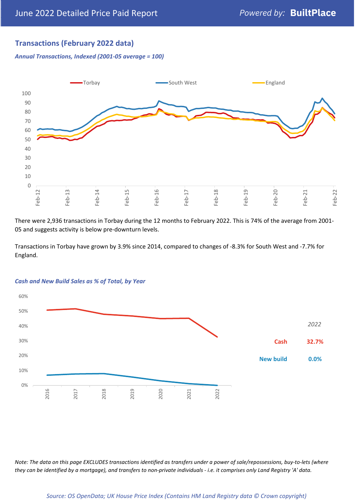## **Transactions (February 2022 data)**

*Annual Transactions, Indexed (2001-05 average = 100)*



There were 2,936 transactions in Torbay during the 12 months to February 2022. This is 74% of the average from 2001- 05 and suggests activity is below pre-downturn levels.

Transactions in Torbay have grown by 3.9% since 2014, compared to changes of -8.3% for South West and -7.7% for England.



#### *Cash and New Build Sales as % of Total, by Year*

*Note: The data on this page EXCLUDES transactions identified as transfers under a power of sale/repossessions, buy-to-lets (where they can be identified by a mortgage), and transfers to non-private individuals - i.e. it comprises only Land Registry 'A' data.*